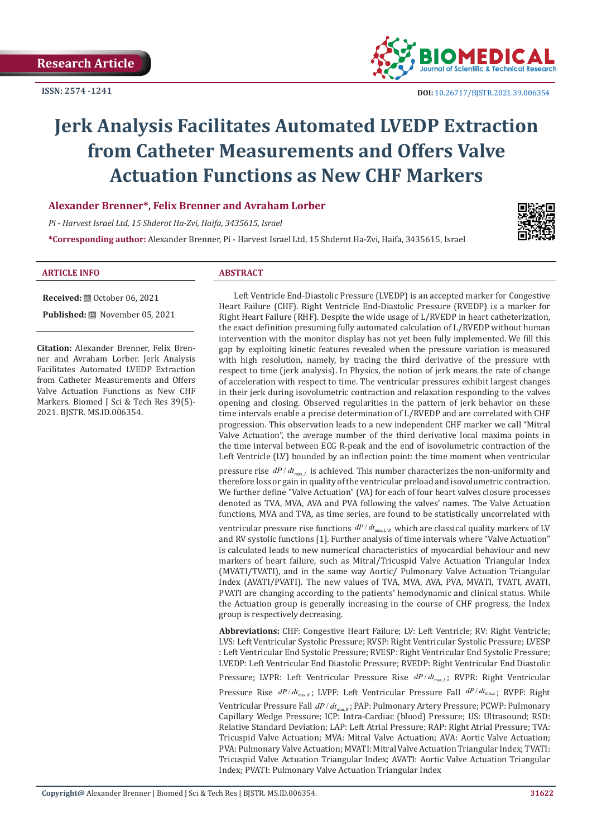

# **Jerk Analysis Facilitates Automated LVEDP Extraction from Catheter Measurements and Offers Valve Actuation Functions as New CHF Markers**

**Alexander Brenner\*, Felix Brenner and Avraham Lorber**

*Pi - Harvest Israel Ltd, 15 Shderot Ha-Zvi, Haifa, 3435615, Israel*

**\*Corresponding author:** Alexander Brenner, Pi - Harvest Israel Ltd, 15 Shderot Ha-Zvi, Haifa, 3435615, Israel



#### **ARTICLE INFO ABSTRACT**

**Citation:** Alexander Brenner, Felix Brenner and Avraham Lorber. Jerk Analysis Facilitates Automated LVEDP Extraction from Catheter Measurements and Offers Valve Actuation Functions as New CHF Markers. Biomed J Sci & Tech Res 39(5)-2021. BJSTR. MS.ID.006354.

**Received:** ■ October 06, 2021 **Published:** November 05, 2021

Left Ventricle End-Diastolic Pressure (LVEDP) is an accepted marker for Congestive Heart Failure (CHF). Right Ventricle End-Diastolic Pressure (RVEDP) is a marker for Right Heart Failure (RHF). Despite the wide usage of L/RVEDP in heart catheterization, the exact definition presuming fully automated calculation of L/RVEDP without human intervention with the monitor display has not yet been fully implemented. We fill this gap by exploiting kinetic features revealed when the pressure variation is measured with high resolution, namely, by tracing the third derivative of the pressure with respect to time (jerk analysis). In Physics, the notion of jerk means the rate of change of acceleration with respect to time. The ventricular pressures exhibit largest changes in their jerk during isovolumetric contraction and relaxation responding to the valves opening and closing. Observed regularities in the pattern of jerk behavior on these time intervals enable a precise determination of L/RVEDP and are correlated with CHF progression. This observation leads to a new independent CHF marker we call "Mitral Valve Actuation", the average number of the third derivative local maxima points in the time interval between ECG R-peak and the end of isovolumetric contraction of the Left Ventricle (LV) bounded by an inflection point: the time moment when ventricular

pressure rise  $dP/dt_{\text{max}}$ , is achieved. This number characterizes the non-uniformity and therefore loss or gain in quality of the ventricular preload and isovolumetric contraction. We further define "Valve Actuation" (VA) for each of four heart valves closure processes denoted as TVA, MVA, AVA and PVA following the valves' names. The Valve Actuation functions, MVA and TVA, as time series, are found to be statistically uncorrelated with

ventricular pressure rise functions  $dP/dt_{\text{max}, L/R}$  which are classical quality markers of LV and RV systolic functions [1]. Further analysis of time intervals where "Valve Actuation" is calculated leads to new numerical characteristics of myocardial behaviour and new markers of heart failure, such as Mitral/Tricuspid Valve Actuation Triangular Index (MVATI/TVATI), and in the same way Aortic/ Pulmonary Valve Actuation Triangular Index (AVATI/PVATI). The new values of TVA, MVA, AVA, PVA, MVATI, TVATI, AVATI, PVATI are changing according to the patients' hemodynamic and clinical status. While the Actuation group is generally increasing in the course of CHF progress, the Index group is respectively decreasing.

**Abbreviations:** CHF: Congestive Heart Failure; LV: Left Ventricle; RV: Right Ventricle; LVS: Left Ventricular Systolic Pressure; RVSP: Right Ventricular Systolic Pressure; LVESP : Left Ventricular End Systolic Pressure; RVESP: Right Ventricular End Systolic Pressure; LVEDP: Left Ventricular End Diastolic Pressure; RVEDP: Right Ventricular End Diastolic Pressure; LVPR: Left Ventricular Pressure Rise  $dP/dt_{\text{max}, L}$ ; RVPR: Right Ventricular Pressure Rise  $dP/dt_{max,k}$ ; LVPF: Left Ventricular Pressure Fall  $dP/dt_{min,k}$ ; RVPF: Right Ventricular Pressure Fall  $dP/dt_{min, R}$ ; PAP: Pulmonary Artery Pressure; PCWP: Pulmonary Capillary Wedge Pressure; ICP: Intra-Cardiac (blood) Pressure; US: Ultrasound; RSD: Relative Standard Deviation; LAP: Left Atrial Pressure; RAP: Right Atrial Pressure; TVA: Tricuspid Valve Actuation; MVA: Mitral Valve Actuation; AVA: Aortic Valve Actuation; PVA: Pulmonary Valve Actuation; MVATI: Mitral Valve Actuation Triangular Index; TVATI: Tricuspid Valve Actuation Triangular Index; AVATI: Aortic Valve Actuation Triangular Index; PVATI: Pulmonary Valve Actuation Triangular Index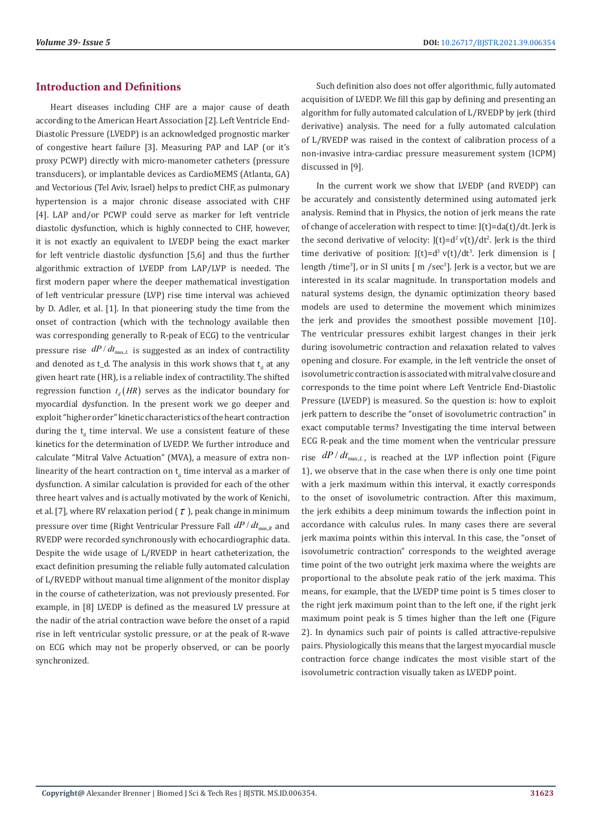# **Introduction and Definitions**

Heart diseases including CHF are a major cause of death according to the American Heart Association [2]. Left Ventricle End-Diastolic Pressure (LVEDP) is an acknowledged prognostic marker of congestive heart failure [3]. Measuring PAP and LAP (or it's proxy PCWP) directly with micro-manometer catheters (pressure transducers), or implantable devices as CardioMEMS (Atlanta, GA) and Vectorious (Tel Aviv, Israel) helps to predict CHF, as pulmonary hypertension is a major chronic disease associated with CHF [4]. LAP and/or PCWP could serve as marker for left ventricle diastolic dysfunction, which is highly connected to CHF, however, it is not exactly an equivalent to LVEDP being the exact marker for left ventricle diastolic dysfunction [5,6] and thus the further algorithmic extraction of LVEDP from LAP/LVP is needed. The first modern paper where the deeper mathematical investigation of left ventricular pressure (LVP) rise time interval was achieved by D. Adler, et al. [1]. In that pioneering study the time from the onset of contraction (which with the technology available then was corresponding generally to R-peak of ECG) to the ventricular pressure rise  $dP/dt_{\text{max}, L}$  is suggested as an index of contractility and denoted as t\_d. The analysis in this work shows that  $\bm{{\mathsf{t}}}_{\text{d}}$  at any given heart rate (HR), is a reliable index of contractility. The shifted regression function  $t.(HR)$  serves as the indicator boundary for myocardial dysfunction. In the present work we go deeper and exploit "higher order" kinetic characteristics of the heart contraction during the  $\mathsf{t}_{\mathsf{d}}$  time interval. We use a consistent feature of these kinetics for the determination of LVEDP. We further introduce and calculate "Mitral Valve Actuation" (MVA), a measure of extra nonlinearity of the heart contraction on  $\bm{{\mathsf{t}}}_{\text{d}}$  time interval as a marker of dysfunction. A similar calculation is provided for each of the other three heart valves and is actually motivated by the work of Kenichi, et al. [7], where RV relaxation period  $(\tau)$ , peak change in minimum pressure over time (Right Ventricular Pressure Fall  $dP/dt_{min, R}$  and RVEDP were recorded synchronously with echocardiographic data. Despite the wide usage of L/RVEDP in heart catheterization, the exact definition presuming the reliable fully automated calculation of L/RVEDP without manual time alignment of the monitor display in the course of catheterization, was not previously presented. For example, in [8] LVEDP is defined as the measured LV pressure at the nadir of the atrial contraction wave before the onset of a rapid rise in left ventricular systolic pressure, or at the peak of R-wave on ECG which may not be properly observed, or can be poorly synchronized.

Such definition also does not offer algorithmic, fully automated acquisition of LVEDP. We fill this gap by defining and presenting an algorithm for fully automated calculation of L/RVEDP by jerk (third derivative) analysis. The need for a fully automated calculation of L/RVEDP was raised in the context of calibration process of a non-invasive intra-cardiac pressure measurement system (ICPM) discussed in [9].

In the current work we show that LVEDP (and RVEDP) can be accurately and consistently determined using automated jerk analysis. Remind that in Physics, the notion of jerk means the rate of change of acceleration with respect to time:  $J(t)=da(t)/dt$ . Jerk is the second derivative of velocity:  $J(t)=d^2 v(t)/dt^2$ . Jerk is the third time derivative of position: J(t)= $d^3 v(t)/dt^3$ . Jerk dimension is [ length /time<sup>3</sup>], or in SI units [ m /sec<sup>3</sup>]. Jerk is a vector, but we are interested in its scalar magnitude. In transportation models and natural systems design, the dynamic optimization theory based models are used to determine the movement which minimizes the jerk and provides the smoothest possible movement [10]. The ventricular pressures exhibit largest changes in their jerk during isovolumetric contraction and relaxation related to valves opening and closure. For example, in the left ventricle the onset of isovolumetric contraction is associated with mitral valve closure and corresponds to the time point where Left Ventricle End-Diastolic Pressure (LVEDP) is measured. So the question is: how to exploit jerk pattern to describe the "onset of isovolumetric contraction" in exact computable terms? Investigating the time interval between ECG R-peak and the time moment when the ventricular pressure rise  $dP/dt_{\text{max}, L}$ , is reached at the LVP inflection point (Figure 1), we observe that in the case when there is only one time point with a jerk maximum within this interval, it exactly corresponds to the onset of isovolumetric contraction. After this maximum, the jerk exhibits a deep minimum towards the inflection point in accordance with calculus rules. In many cases there are several jerk maxima points within this interval. In this case, the "onset of isovolumetric contraction" corresponds to the weighted average time point of the two outright jerk maxima where the weights are proportional to the absolute peak ratio of the jerk maxima. This means, for example, that the LVEDP time point is 5 times closer to the right jerk maximum point than to the left one, if the right jerk maximum point peak is 5 times higher than the left one (Figure 2). In dynamics such pair of points is called attractive-repulsive pairs. Physiologically this means that the largest myocardial muscle contraction force change indicates the most visible start of the isovolumetric contraction visually taken as LVEDP point.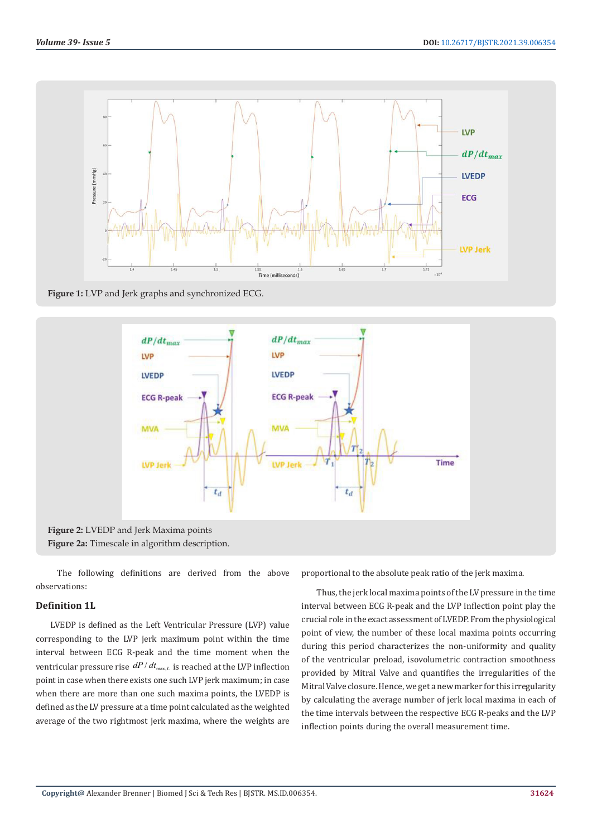

**Figure 1:** LVP and Jerk graphs and synchronized ECG.



 The following definitions are derived from the above observations:

## **Definition 1L**

LVEDP is defined as the Left Ventricular Pressure (LVP) value corresponding to the LVP jerk maximum point within the time interval between ECG R-peak and the time moment when the ventricular pressure rise  $dP/dt_{max,L}$  is reached at the LVP inflection point in case when there exists one such LVP jerk maximum; in case when there are more than one such maxima points, the LVEDP is defined as the LV pressure at a time point calculated as the weighted average of the two rightmost jerk maxima, where the weights are proportional to the absolute peak ratio of the jerk maxima.

Thus, the jerk local maxima points of the LV pressure in the time interval between ECG R-peak and the LVP inflection point play the crucial role in the exact assessment of LVEDP. From the physiological point of view, the number of these local maxima points occurring during this period characterizes the non-uniformity and quality of the ventricular preload, isovolumetric contraction smoothness provided by Mitral Valve and quantifies the irregularities of the Mitral Valve closure. Hence, we get a new marker for this irregularity by calculating the average number of jerk local maxima in each of the time intervals between the respective ECG R-peaks and the LVP inflection points during the overall measurement time.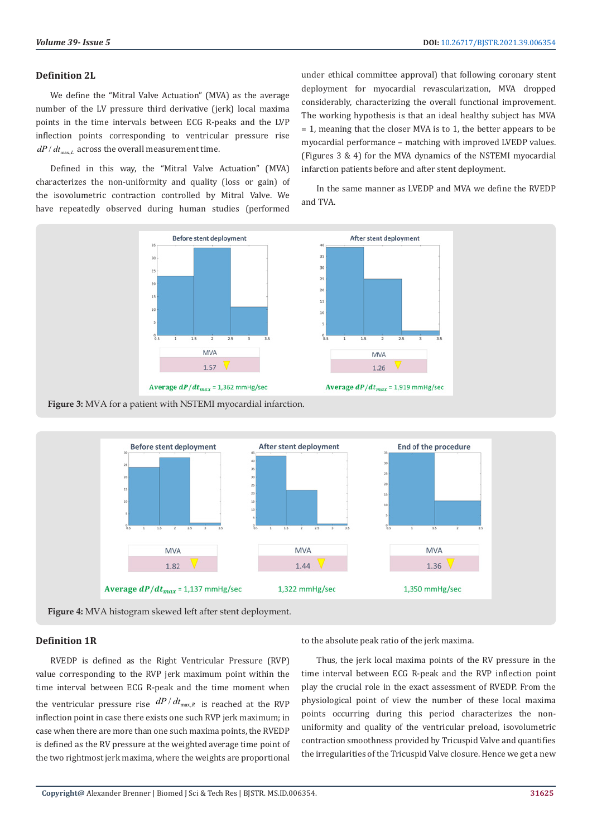#### **Definition 2L**

We define the "Mitral Valve Actuation" (MVA) as the average number of the LV pressure third derivative (jerk) local maxima points in the time intervals between ECG R-peaks and the LVP inflection points corresponding to ventricular pressure rise  $dP/dt_{\text{max}}$ , across the overall measurement time.

Defined in this way, the "Mitral Valve Actuation" (MVA) characterizes the non-uniformity and quality (loss or gain) of the isovolumetric contraction controlled by Mitral Valve. We have repeatedly observed during human studies (performed

under ethical committee approval) that following coronary stent deployment for myocardial revascularization, MVA dropped considerably, characterizing the overall functional improvement. The working hypothesis is that an ideal healthy subject has MVA = 1, meaning that the closer MVA is to 1, the better appears to be myocardial performance – matching with improved LVEDP values. (Figures 3 & 4) for the MVA dynamics of the NSTEMI myocardial infarction patients before and after stent deployment.

In the same manner as LVEDP and MVA we define the RVEDP and TVA.







#### **Definition 1R**

RVEDP is defined as the Right Ventricular Pressure (RVP) value corresponding to the RVP jerk maximum point within the time interval between ECG R-peak and the time moment when the ventricular pressure rise  $dP/dt_{\text{max},R}$  is reached at the RVP inflection point in case there exists one such RVP jerk maximum; in case when there are more than one such maxima points, the RVEDP is defined as the RV pressure at the weighted average time point of the two rightmost jerk maxima, where the weights are proportional

to the absolute peak ratio of the jerk maxima.

Thus, the jerk local maxima points of the RV pressure in the time interval between ECG R-peak and the RVP inflection point play the crucial role in the exact assessment of RVEDP. From the physiological point of view the number of these local maxima points occurring during this period characterizes the nonuniformity and quality of the ventricular preload, isovolumetric contraction smoothness provided by Tricuspid Valve and quantifies the irregularities of the Tricuspid Valve closure. Hence we get a new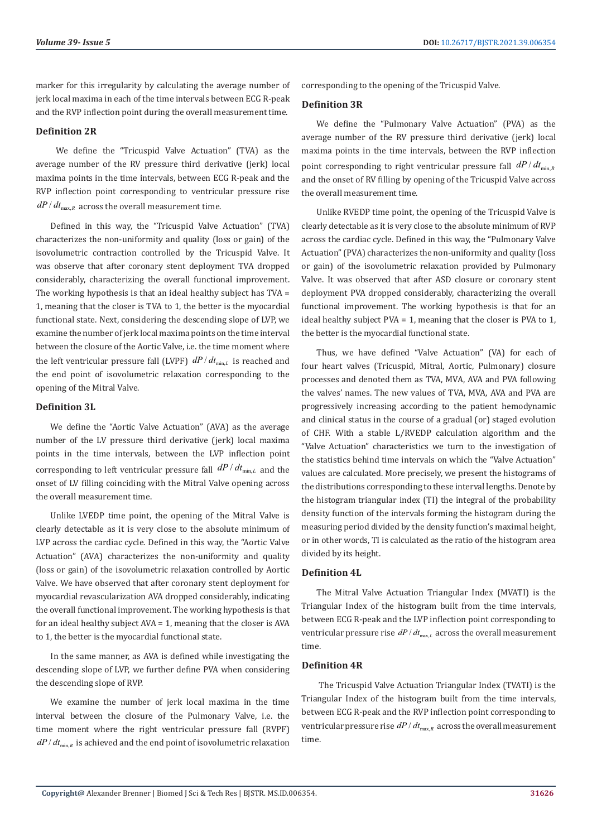marker for this irregularity by calculating the average number of jerk local maxima in each of the time intervals between ECG R-peak and the RVP inflection point during the overall measurement time.

### **Definition 2R**

We define the "Tricuspid Valve Actuation" (TVA) as the average number of the RV pressure third derivative (jerk) local maxima points in the time intervals, between ECG R-peak and the RVP inflection point corresponding to ventricular pressure rise  $dP/dt_{\text{max}, R}$  across the overall measurement time.

Defined in this way, the "Tricuspid Valve Actuation" (TVA) characterizes the non-uniformity and quality (loss or gain) of the isovolumetric contraction controlled by the Tricuspid Valve. It was observe that after coronary stent deployment TVA dropped considerably, characterizing the overall functional improvement. The working hypothesis is that an ideal healthy subject has TVA = 1, meaning that the closer is TVA to 1, the better is the myocardial functional state. Next, considering the descending slope of LVP, we examine the number of jerk local maxima points on the time interval between the closure of the Aortic Valve, i.e. the time moment where the left ventricular pressure fall (LVPF)  $dP/dt_{min,L}$  is reached and the end point of isovolumetric relaxation corresponding to the opening of the Mitral Valve.

### **Definition 3L**

We define the "Aortic Valve Actuation" (AVA) as the average number of the LV pressure third derivative (jerk) local maxima points in the time intervals, between the LVP inflection point corresponding to left ventricular pressure fall  $dP/dt_{min,L}$  and the onset of LV filling coinciding with the Mitral Valve opening across the overall measurement time.

Unlike LVEDP time point, the opening of the Mitral Valve is clearly detectable as it is very close to the absolute minimum of LVP across the cardiac cycle. Defined in this way, the "Aortic Valve Actuation" (AVA) characterizes the non-uniformity and quality (loss or gain) of the isovolumetric relaxation controlled by Aortic Valve. We have observed that after coronary stent deployment for myocardial revascularization AVA dropped considerably, indicating the overall functional improvement. The working hypothesis is that for an ideal healthy subject AVA = 1, meaning that the closer is AVA to 1, the better is the myocardial functional state.

In the same manner, as AVA is defined while investigating the descending slope of LVP, we further define PVA when considering the descending slope of RVP.

We examine the number of jerk local maxima in the time interval between the closure of the Pulmonary Valve, i.e. the time moment where the right ventricular pressure fall (RVPF)  $dP/dt_{min}$  is achieved and the end point of isovolumetric relaxation corresponding to the opening of the Tricuspid Valve.

#### **Definition 3R**

We define the "Pulmonary Valve Actuation" (PVA) as the average number of the RV pressure third derivative (jerk) local maxima points in the time intervals, between the RVP inflection point corresponding to right ventricular pressure fall  $dP/dt_{min,R}$ and the onset of RV filling by opening of the Tricuspid Valve across the overall measurement time.

Unlike RVEDP time point, the opening of the Tricuspid Valve is clearly detectable as it is very close to the absolute minimum of RVP across the cardiac cycle. Defined in this way, the "Pulmonary Valve Actuation" (PVA) characterizes the non-uniformity and quality (loss or gain) of the isovolumetric relaxation provided by Pulmonary Valve. It was observed that after ASD closure or coronary stent deployment PVA dropped considerably, characterizing the overall functional improvement. The working hypothesis is that for an ideal healthy subject PVA = 1, meaning that the closer is PVA to 1, the better is the myocardial functional state.

Thus, we have defined "Valve Actuation" (VA) for each of four heart valves (Tricuspid, Mitral, Aortic, Pulmonary) closure processes and denoted them as TVA, MVA, AVA and PVA following the valves' names. The new values of TVA, MVA, AVA and PVA are progressively increasing according to the patient hemodynamic and clinical status in the course of a gradual (or) staged evolution of CHF. With a stable L/RVEDP calculation algorithm and the "Valve Actuation" characteristics we turn to the investigation of the statistics behind time intervals on which the "Valve Actuation" values are calculated. More precisely, we present the histograms of the distributions corresponding to these interval lengths. Denote by the histogram triangular index (TI) the integral of the probability density function of the intervals forming the histogram during the measuring period divided by the density function's maximal height, or in other words, TI is calculated as the ratio of the histogram area divided by its height.

## **Definition 4L**

The Mitral Valve Actuation Triangular Index (MVATI) is the Triangular Index of the histogram built from the time intervals, between ECG R-peak and the LVP inflection point corresponding to ventricular pressure rise  $dP/dt_{\text{max}}$ , across the overall measurement time.

# **Definition 4R**

 The Tricuspid Valve Actuation Triangular Index (TVATI) is the Triangular Index of the histogram built from the time intervals, between ECG R-peak and the RVP inflection point corresponding to ventricular pressure rise  $dP/dt_{\text{max},R}$  across the overall measurement time.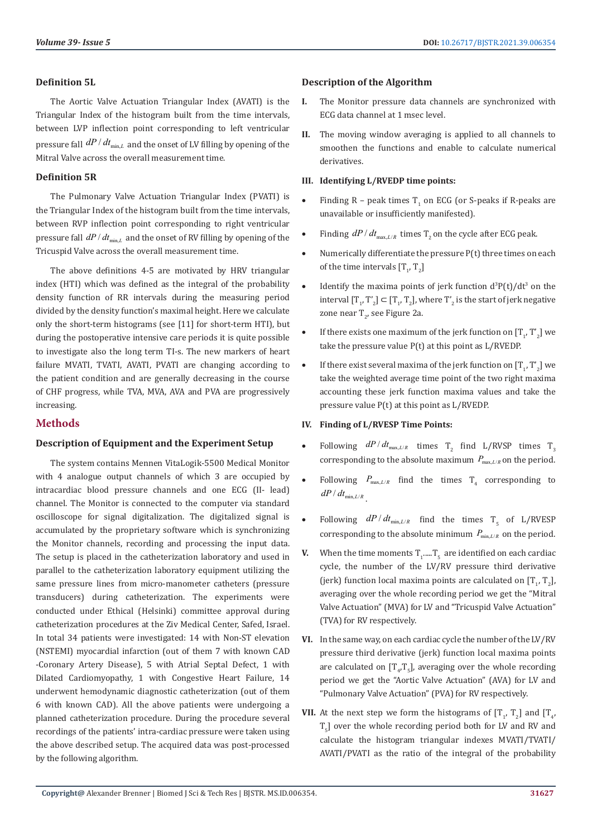### **Definition 5L**

The Aortic Valve Actuation Triangular Index (AVATI) is the Triangular Index of the histogram built from the time intervals, between LVP inflection point corresponding to left ventricular pressure fall  $dP/dt_{min,L}$  and the onset of LV filling by opening of the Mitral Valve across the overall measurement time.

## **Definition 5R**

The Pulmonary Valve Actuation Triangular Index (PVATI) is the Triangular Index of the histogram built from the time intervals, between RVP inflection point corresponding to right ventricular pressure fall  $dP/dt_{min,l}$  and the onset of RV filling by opening of the Tricuspid Valve across the overall measurement time.

The above definitions 4-5 are motivated by HRV triangular index (HTI) which was defined as the integral of the probability density function of RR intervals during the measuring period divided by the density function's maximal height. Here we calculate only the short-term histograms (see [11] for short-term HTI), but during the postoperative intensive care periods it is quite possible to investigate also the long term TI-s. The new markers of heart failure MVATI, TVATI, AVATI, PVATI are changing according to the patient condition and are generally decreasing in the course of CHF progress, while TVA, MVA, AVA and PVA are progressively increasing.

# **Methods**

## **Description of Equipment and the Experiment Setup**

The system contains Mennen VitaLogik-5500 Medical Monitor with 4 analogue output channels of which 3 are occupied by intracardiac blood pressure channels and one ECG (II- lead) channel. The Monitor is connected to the computer via standard oscilloscope for signal digitalization. The digitalized signal is accumulated by the proprietary software which is synchronizing the Monitor channels, recording and processing the input data. The setup is placed in the catheterization laboratory and used in parallel to the catheterization laboratory equipment utilizing the same pressure lines from micro-manometer catheters (pressure transducers) during catheterization. The experiments were conducted under Ethical (Helsinki) committee approval during catheterization procedures at the Ziv Medical Center, Safed, Israel. In total 34 patients were investigated: 14 with Non-ST elevation (NSTEMI) myocardial infarction (out of them 7 with known CAD -Coronary Artery Disease), 5 with Atrial Septal Defect, 1 with Dilated Cardiomyopathy, 1 with Congestive Heart Failure, 14 underwent hemodynamic diagnostic catheterization (out of them 6 with known CAD). All the above patients were undergoing a planned catheterization procedure. During the procedure several recordings of the patients' intra-cardiac pressure were taken using the above described setup. The acquired data was post-processed by the following algorithm.

### **Description of the Algorithm**

- **I.** The Monitor pressure data channels are synchronized with ECG data channel at 1 msec level.
- **II.** The moving window averaging is applied to all channels to smoothen the functions and enable to calculate numerical derivatives.

### **III. Identifying L/RVEDP time points:**

- Finding  $R$  peak times  $T_1$  on ECG (or S-peaks if R-peaks are unavailable or insufficiently manifested).
- Finding  $dP/dt_{\text{max}}$  *LR* times T<sub>2</sub> on the cycle after ECG peak.
- Numerically differentiate the pressure  $P(t)$  three times on each of the time intervals  $[T_1, T_2]$
- Identify the maxima points of jerk function  $d^3P(t)/dt^3$  on the interval  $[T_1, T_2] \subseteq [T_1, T_2]$ , where  $T_2$  is the start of jerk negative zone near T<sub>2</sub>, see Figure 2a.
- If there exists one maximum of the jerk function on  $[T_1, T_2]$  we take the pressure value P(t) at this point as L/RVEDP.
- If there exist several maxima of the jerk function on  $[T_1, T_2]$  we take the weighted average time point of the two right maxima accounting these jerk function maxima values and take the pressure value P(t) at this point as L/RVEDP.

## **IV. Finding of L/RVESP Time Points:**

- Following  $dP/dt_{\text{max}, L/R}$  times T<sub>2</sub> find L/RVSP times T<sub>3</sub> corresponding to the absolute maximum  $P_{\text{max}, L/R}$  on the period.
- Following  $P_{\text{max}, L/R}$  find the times  $T_4$  corresponding to  $dP / dt_{\min, L/R}$
- Following  $dP/dt_{\min, L/R}$  find the times T<sub>5</sub> of L/RVESP corresponding to the absolute minimum  $P_{min, L/R}$  on the period.
- **V.** When the time moments  $T_1$ ..... $T_5$  are identified on each cardiac cycle, the number of the LV/RV pressure third derivative (jerk) function local maxima points are calculated on  $[T_1, T_2]$ , averaging over the whole recording period we get the "Mitral Valve Actuation" (MVA) for LV and "Tricuspid Valve Actuation" (TVA) for RV respectively.
- **VI.** In the same way, on each cardiac cycle the number of the LV/RV pressure third derivative (jerk) function local maxima points are calculated on  $[T_4, T_5]$ , averaging over the whole recording period we get the "Aortic Valve Actuation" (AVA) for LV and "Pulmonary Valve Actuation" (PVA) for RV respectively.
- **VII.** At the next step we form the histograms of  $[T_1, T_2]$  and  $[T_4, T_3]$  $T_{5}$ ] over the whole recording period both for LV and RV and calculate the histogram triangular indexes MVATI/TVATI/ AVATI/PVATI as the ratio of the integral of the probability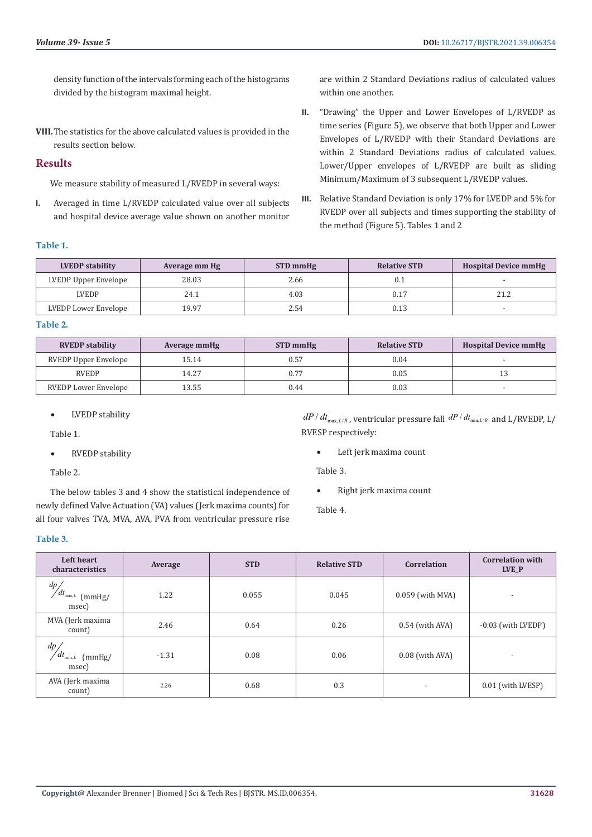density function of the intervals forming each of the histograms divided by the histogram maximal height.

**VIII.**The statistics for the above calculated values is provided in the results section below.

## **Results**

We measure stability of measured L/RVEDP in several ways:

**I.** Averaged in time L/RVEDP calculated value over all subjects and hospital device average value shown on another monitor are within 2 Standard Deviations radius of calculated values within one another.

- **II.** "Drawing" the Upper and Lower Envelopes of L/RVEDP as time series (Figure 5), we observe that both Upper and Lower Envelopes of L/RVEDP with their Standard Deviations are within 2 Standard Deviations radius of calculated values. Lower/Upper envelopes of L/RVEDP are built as sliding Minimum/Maximum of 3 subsequent L/RVEDP values.
- **III.** Relative Standard Deviation is only 17% for LVEDP and 5% for RVEDP over all subjects and times supporting the stability of the method (Figure 5). Tables 1 and 2

#### **Table 1.**

| <b>LVEDP</b> stability | Average mm Hg | STD mmHg | <b>Relative STD</b> | <b>Hospital Device mmHg</b> |
|------------------------|---------------|----------|---------------------|-----------------------------|
| LVEDP Upper Envelope   | 28.03         | 2.66     | 0.1                 |                             |
| <b>LVEDP</b>           | 24.1          | 4.03     | 0.17                | ว1 ว                        |
| LVEDP Lower Envelope   | 19.97         | 2.54     | 0.13                |                             |

#### **Table 2.**

| <b>RVEDP</b> stability | Average mmHg | STD mmHg | <b>Relative STD</b> | <b>Hospital Device mmHg</b> |
|------------------------|--------------|----------|---------------------|-----------------------------|
| RVEDP Upper Envelope   | 15.14        | 0.57     | 0.04                |                             |
| <b>RVEDP</b>           | 14.27        |          | 0.05                |                             |
| RVEDP Lower Envelope   | 13.55        | 0.44     | 0.03                |                             |

• LVEDP stability

Table 1.

• RVEDP stability

Table 2.

The below tables 3 and 4 show the statistical independence of newly defined Valve Actuation (VA) values (Jerk maxima counts) for all four valves TVA, MVA, AVA, PVA from ventricular pressure rise

 $dP/dt_{\text{max, } L/R}$ , ventricular pressure fall  $dP/dt_{\text{min, } L/R}$  and L/RVEDP, L/ RVESP respectively:

• Left jerk maxima count

Table 3.

• Right jerk maxima count

Table 4.

#### **Table 3.**

| Left heart<br>characteristics                       | Average | <b>STD</b> | <b>Relative STD</b> | <b>Correlation</b> | <b>Correlation with</b><br>LVE P |
|-----------------------------------------------------|---------|------------|---------------------|--------------------|----------------------------------|
| dp<br>$\angle dt_{\text{max},L}$<br>(mmHg)<br>msec) | 1.22    | 0.055      | 0.045               | $0.059$ (with MVA) | $\overline{\phantom{a}}$         |
| MVA (Jerk maxima<br>count)                          | 2.46    | 0.64       | 0.26                | $0.54$ (with AVA)  | -0.03 (with LVEDP)               |
| dp<br>$\angle dt_{\min,L}$<br>(mmHg)<br>msec)       | $-1.31$ | 0.08       | 0.06                | $0.08$ (with AVA)  | ٠                                |
| AVA (Jerk maxima<br>count)                          | 2.26    | 0.68       | 0.3                 |                    | 0.01 (with LVESP)                |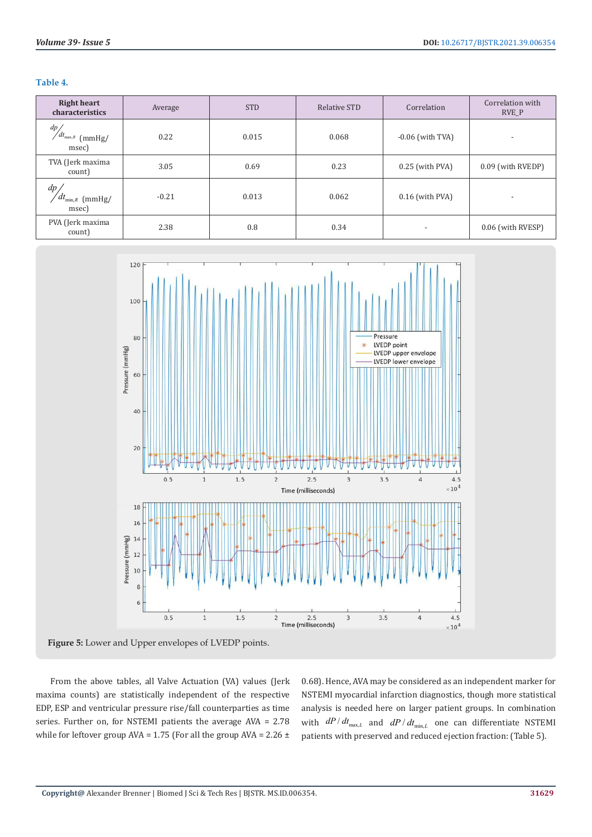|  | ٧ | × |  |
|--|---|---|--|
|  |   |   |  |

| <b>Right heart</b><br>characteristics        | Average | <b>STD</b> | Relative STD | Correlation              | Correlation with<br><b>RVE P</b> |
|----------------------------------------------|---------|------------|--------------|--------------------------|----------------------------------|
| dp/<br>$\sqrt{dt_{\max,R}}$ (mmHg/<br>msec)  | 0.22    | 0.015      | 0.068        | $-0.06$ (with TVA)       | $\overline{\phantom{a}}$         |
| TVA (Jerk maxima<br>count)                   | 3.05    | 0.69       | 0.23         | $0.25$ (with PVA)        | 0.09 (with RVEDP)                |
| $dp_{\ell}$<br>$dt_{\min,R}$ (mmHg/<br>msec) | $-0.21$ | 0.013      | 0.062        | $0.16$ (with PVA)        | $\overline{\phantom{a}}$         |
| PVA (Jerk maxima<br>count)                   | 2.38    | 0.8        | 0.34         | $\overline{\phantom{a}}$ | 0.06 (with RVESP)                |



**Figure 5:** Lower and Upper envelopes of LVEDP points.

From the above tables, all Valve Actuation (VA) values (Jerk maxima counts) are statistically independent of the respective EDP, ESP and ventricular pressure rise/fall counterparties as time series. Further on, for NSTEMI patients the average AVA = 2.78 while for leftover group AVA =  $1.75$  (For all the group AVA =  $2.26 \pm$ 

0.68). Hence, AVA may be considered as an independent marker for NSTEMI myocardial infarction diagnostics, though more statistical analysis is needed here on larger patient groups. In combination with  $dP/dt_{\text{max}, L}$  and  $dP/dt_{\text{min}, L}$  one can differentiate NSTEMI patients with preserved and reduced ejection fraction: (Table 5).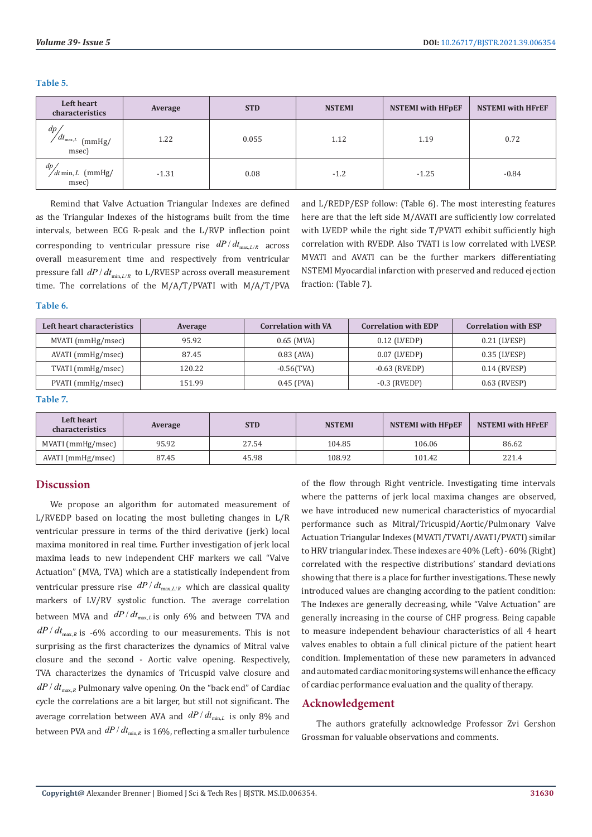| Left heart<br>characteristics                                      | Average | <b>STD</b> | <b>NSTEMI</b> | <b>NSTEMI</b> with HFpEF | <b>NSTEMI</b> with HFrEF |
|--------------------------------------------------------------------|---------|------------|---------------|--------------------------|--------------------------|
| dp<br>$'dt_{\text{max},L}$<br>$\lceil \text{mmHg} \rceil$<br>msec) | 1.22    | 0.055      | 1.12          | 1.19                     | 0.72                     |
| dp<br>$\sqrt{dt}$ min, L (mmHg/<br>msec)                           | $-1.31$ | 0.08       | $-1.2$        | $-1.25$                  | $-0.84$                  |

**Table 5.**

Remind that Valve Actuation Triangular Indexes are defined as the Triangular Indexes of the histograms built from the time intervals, between ECG R-peak and the L/RVP inflection point corresponding to ventricular pressure rise  $dP/dt_{\text{max, L/R}}$  across overall measurement time and respectively from ventricular pressure fall  $dP/dt_{min, L/R}$  to L/RVESP across overall measurement time. The correlations of the M/A/T/PVATI with M/A/T/PVA and L/REDP/ESP follow: (Table 6). The most interesting features here are that the left side M/AVATI are sufficiently low correlated with LVEDP while the right side T/PVATI exhibit sufficiently high correlation with RVEDP. Also TVATI is low correlated with LVESP. MVATI and AVATI can be the further markers differentiating NSTEMI Myocardial infarction with preserved and reduced ejection fraction: (Table 7).

#### **Table 6.**

| Left heart characteristics | Average | <b>Correlation with VA</b> | <b>Correlation with EDP</b> | <b>Correlation with ESP</b> |
|----------------------------|---------|----------------------------|-----------------------------|-----------------------------|
| MVATI (mmHg/msec)          | 95.92   | $0.65$ (MVA)               | $0.12$ (LVEDP)              | 0.21 (LVESP)                |
| AVATI (mmHg/msec)          | 87.45   | $0.83$ (AVA)               | $0.07$ (LVEDP)              | 0.35 (LVESP)                |
| TVATI (mmHg/msec)          | 120.22  | $-0.56$ (TVA)              | $-0.63$ (RVEDP)             | 0.14 (RVESP)                |
| PVATI (mmHg/msec)          | 151.99  | $0.45$ (PVA)               | $-0.3$ (RVEDP)              | 0.63 (RVESP)                |

#### **Table 7.**

| Left heart<br>characteristics | Average | <b>STD</b> | <b>NSTEMI</b> | <b>NSTEMI</b> with HFpEF | <b>NSTEMI</b> with HFrEF |
|-------------------------------|---------|------------|---------------|--------------------------|--------------------------|
| MVATI (mmHg/msec)             | 95.92   | 27.54      | 104.85        | 106.06                   | 86.62                    |
| AVATI (mmHg/msec)             | 87.45   | 45.98      | 108.92        | 101.42                   | 221.4                    |

### **Discussion**

We propose an algorithm for automated measurement of L/RVEDP based on locating the most bulleting changes in L/R ventricular pressure in terms of the third derivative (jerk) local maxima monitored in real time. Further investigation of jerk local maxima leads to new independent CHF markers we call "Valve Actuation" (MVA, TVA) which are a statistically independent from ventricular pressure rise  $dP/dt_{\text{max}, L/R}$  which are classical quality markers of LV/RV systolic function. The average correlation between MVA and  $dP/dt_{\text{max}, L}$  is only 6% and between TVA and  $dP/dt_{\text{max},R}$  is -6% according to our measurements. This is not surprising as the first characterizes the dynamics of Mitral valve closure and the second - Aortic valve opening. Respectively, TVA characterizes the dynamics of Tricuspid valve closure and  $dP/dt_{\text{max}, R}$  Pulmonary valve opening. On the "back end" of Cardiac cycle the correlations are a bit larger, but still not significant. The average correlation between AVA and  $dP/dt_{min,L}$  is only 8% and between PVA and  $dP/dt_{min, R}$  is 16%, reflecting a smaller turbulence

of the flow through Right ventricle. Investigating time intervals where the patterns of jerk local maxima changes are observed, we have introduced new numerical characteristics of myocardial performance such as Mitral/Tricuspid/Aortic/Pulmonary Valve Actuation Triangular Indexes (MVATI/TVATI/AVATI/PVATI) similar to HRV triangular index. These indexes are 40% (Left) - 60% (Right) correlated with the respective distributions' standard deviations showing that there is a place for further investigations. These newly introduced values are changing according to the patient condition: The Indexes are generally decreasing, while "Valve Actuation" are generally increasing in the course of CHF progress. Being capable to measure independent behaviour characteristics of all 4 heart valves enables to obtain a full clinical picture of the patient heart condition. Implementation of these new parameters in advanced and automated cardiac monitoring systems will enhance the efficacy of cardiac performance evaluation and the quality of therapy.

## **Acknowledgement**

The authors gratefully acknowledge Professor Zvi Gershon Grossman for valuable observations and comments.